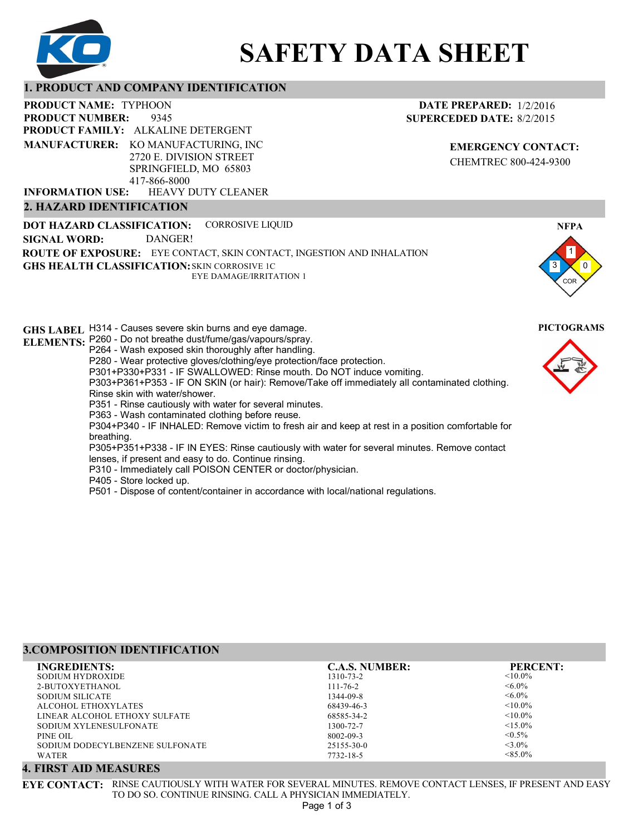

# **SAFETY DATA SHEET**

## **1. PRODUCT AND COMPANY IDENTIFICATION**

9345 PRODUCT NAME: TYPHOON **PRODUCT FAMILY: ALKALINE DETERGENT** HEAVY DUTY CLEANER **PRODUCT NUMBER: MANUFACTURER:** KO MANUFACTURING, INC 2720 E. DIVISION STREET SPRINGFIELD, MO 65803 417-866-8000 **INFORMATION USE:**

## **2. HAZARD IDENTIFICATION**

**DOT HAZARD CLASSIFICATION: GHS HEALTH CLASSIFICATION:** SKIN CORROSIVE 1C **ROUTE OF EXPOSURE:** EYE CONTACT, SKIN CONTACT, INGESTION AND INHALATION CORROSIVE LIQUID EYE DAMAGE/IRRITATION 1 **SIGNAL WORD:** DANGER!

**GHS LABEL**  H314 - Causes severe skin burns and eye damage. **PICTOGRAMS ELEMENTS:** P260 - Do not breathe dust/fume/gas/vapours/spray. P264 - Wash exposed skin thoroughly after handling. P280 - Wear protective gloves/clothing/eye protection/face protection. P301+P330+P331 - IF SWALLOWED: Rinse mouth. Do NOT induce vomiting. P303+P361+P353 - IF ON SKIN (or hair): Remove/Take off immediately all contaminated clothing. Rinse skin with water/shower. P351 - Rinse cautiously with water for several minutes. P363 - Wash contaminated clothing before reuse. P304+P340 - IF INHALED: Remove victim to fresh air and keep at rest in a position comfortable for breathing. P305+P351+P338 - IF IN EYES: Rinse cautiously with water for several minutes. Remove contact lenses, if present and easy to do. Continue rinsing. P310 - Immediately call POISON CENTER or doctor/physician. P405 - Store locked up. P501 - Dispose of content/container in accordance with local/national regulations.

## **3.COMPOSITION IDENTIFICATION**

| <b>INGREDIENTS:</b>             | <b>C.A.S. NUMBER:</b> | <b>PERCENT:</b> |
|---------------------------------|-----------------------|-----------------|
| SODIUM HYDROXIDE                | 1310-73-2             | $< 10.0\%$      |
| 2-BUTOXYETHANOL                 | $111 - 76 - 2$        | $\leq 6.0\%$    |
| <b>SODIUM SILICATE</b>          | 1344-09-8             | $<6.0\%$        |
| ALCOHOL ETHOXYLATES             | 68439-46-3            | $< 10.0\%$      |
| LINEAR ALCOHOL ETHOXY SULFATE   | 68585-34-2            | $< 10.0\%$      |
| SODIUM XYLENESULFONATE          | 1300-72-7             | $< 15.0\%$      |
| PINE OIL                        | 8002-09-3             | $< 0.5\%$       |
| SODIUM DODECYLBENZENE SULFONATE | 25155-30-0            | $<$ 3.0%        |
| <b>WATER</b>                    | 7732-18-5             | $< 85.0\%$      |

## **4. FIRST AID MEASURES**

**EYE CONTACT:** RINSE CAUTIOUSLY WITH WATER FOR SEVERAL MINUTES. REMOVE CONTACT LENSES, IF PRESENT AND EASY TO DO SO. CONTINUE RINSING. CALL A PHYSICIAN IMMEDIATELY.

**EMERGENCY CONTACT:** CHEMTREC 800-424-9300



1 0

**NFPA**

COR

3

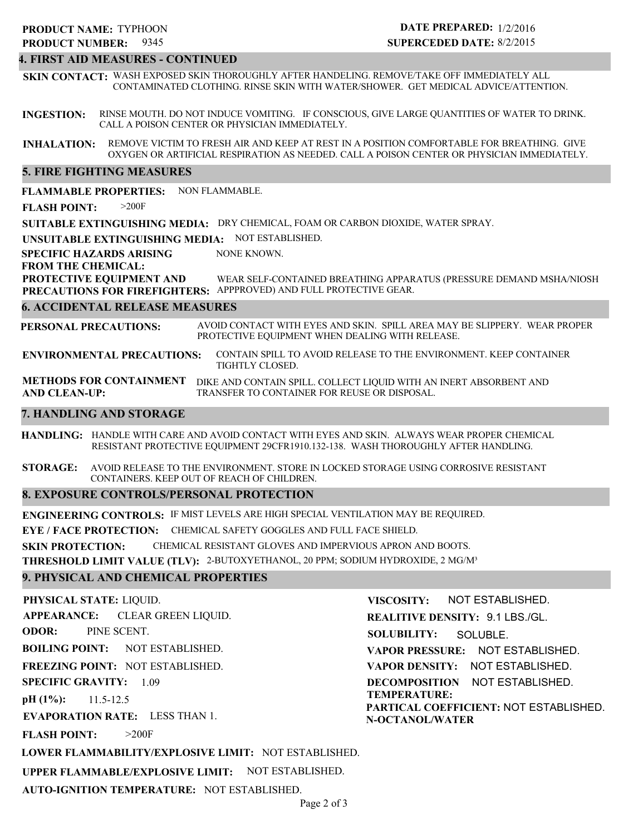## 9345 **PRODUCT NUMBER: PRODUCT NAME: TYPHOON**

## **DATE PREPARED:** 1/2/2016 **SUPERCEDED DATE:** 8/2/2015

## **4. FIRST AID MEASURES - CONTINUED**

**SKIN CONTACT:** WASH EXPOSED SKIN THOROUGHLY AFTER HANDELING. REMOVE/TAKE OFF IMMEDIATELY ALL CONTAMINATED CLOTHING. RINSE SKIN WITH WATER/SHOWER. GET MEDICAL ADVICE/ATTENTION.

**INGESTION:** RINSE MOUTH. DO NOT INDUCE VOMITING. IF CONSCIOUS, GIVE LARGE QUANTITIES OF WATER TO DRINK. CALL A POISON CENTER OR PHYSICIAN IMMEDIATELY.

**INHALATION:** REMOVE VICTIM TO FRESH AIR AND KEEP AT REST IN A POSITION COMFORTABLE FOR BREATHING. GIVE OXYGEN OR ARTIFICIAL RESPIRATION AS NEEDED. CALL A POISON CENTER OR PHYSICIAN IMMEDIATELY.

## **5. FIRE FIGHTING MEASURES**

**FLAMMABLE PROPERTIES:** NON FLAMMABLE.

**FLASH POINT:** >200F

**SUITABLE EXTINGUISHING MEDIA:** DRY CHEMICAL, FOAM OR CARBON DIOXIDE, WATER SPRAY.

**UNSUITABLE EXTINGUISHING MEDIA:** NOT ESTABLISHED.

**SPECIFIC HAZARDS ARISING** NONE KNOWN.

**FROM THE CHEMICAL:**

**PROTECTIVE EQUIPMENT AND PRECAUTIONS FOR FIREFIGHTERS:** APPPROVED) AND FULL PROTECTIVE GEAR. WEAR SELF-CONTAINED BREATHING APPARATUS (PRESSURE DEMAND MSHA/NIOSH

## **6. ACCIDENTAL RELEASE MEASURES**

**PERSONAL PRECAUTIONS:** AVOID CONTACT WITH EYES AND SKIN. SPILL AREA MAY BE SLIPPERY. WEAR PROPER PROTECTIVE EQUIPMENT WHEN DEALING WITH RELEASE.

**ENVIRONMENTAL PRECAUTIONS:** CONTAIN SPILL TO AVOID RELEASE TO THE ENVIRONMENT. KEEP CONTAINER TIGHTLY CLOSED.

**METHODS FOR CONTAINMENT** DIKE AND CONTAIN SPILL. COLLECT LIQUID WITH AN INERT ABSORBENT AND **AND CLEAN-UP:** TRANSFER TO CONTAINER FOR REUSE OR DISPOSAL.

## **7. HANDLING AND STORAGE**

**HANDLING:** HANDLE WITH CARE AND AVOID CONTACT WITH EYES AND SKIN. ALWAYS WEAR PROPER CHEMICAL RESISTANT PROTECTIVE EQUIPMENT 29CFR1910.132-138. WASH THOROUGHLY AFTER HANDLING.

**STORAGE:** AVOID RELEASE TO THE ENVIRONMENT. STORE IN LOCKED STORAGE USING CORROSIVE RESISTANT CONTAINERS. KEEP OUT OF REACH OF CHILDREN.

## **8. EXPOSURE CONTROLS/PERSONAL PROTECTION**

**ENGINEERING CONTROLS:** IF MIST LEVELS ARE HIGH SPECIAL VENTILATION MAY BE REQUIRED. **EYE / FACE PROTECTION:** CHEMICAL SAFETY GOGGLES AND FULL FACE SHIELD. **SKIN PROTECTION:** CHEMICAL RESISTANT GLOVES AND IMPERVIOUS APRON AND BOOTS. **THRESHOLD LIMIT VALUE (TLV):** 2-BUTOXYETHANOL, 20 PPM; SODIUM HYDROXIDE, 2 MG/M³

## **9. PHYSICAL AND CHEMICAL PROPERTIES**

**PHYSICAL STATE:** LIQUID. **APPEARANCE: ODOR: BOILING POINT:** NOT ESTABLISHED. **FREEZING POINT:** NOT ESTABLISHED. **SPECIFIC GRAVITY:** 1.09 **pH (1%): EVAPORATION RATE:** LESS THAN 1. **FLASH POINT: LOWER FLAMMABILITY/EXPLOSIVE LIMIT:** NOT ESTABLISHED. 11.5-12.5 >200F CLEAR GREEN LIQUID. PINE SCENT. **VISCOSITY: SOLUBILITY: VAPOR PRESSURE:** NOT ESTABLISHED.

**UPPER FLAMMABLE/EXPLOSIVE LIMIT:** NOT ESTABLISHED.

**AUTO-IGNITION TEMPERATURE:** NOT ESTABLISHED.

**REALITIVE DENSITY:** 9.1 LBS./GL. NOT ESTABLISHED. SOLUBLE.

**VAPOR DENSITY:** NOT ESTABLISHED.

**DECOMPOSITION** NOT ESTABLISHED. **TEMPERATURE:**

**PARTICAL COEFFICIENT:** NOT ESTABLISHED. **N-OCTANOL/WATER**